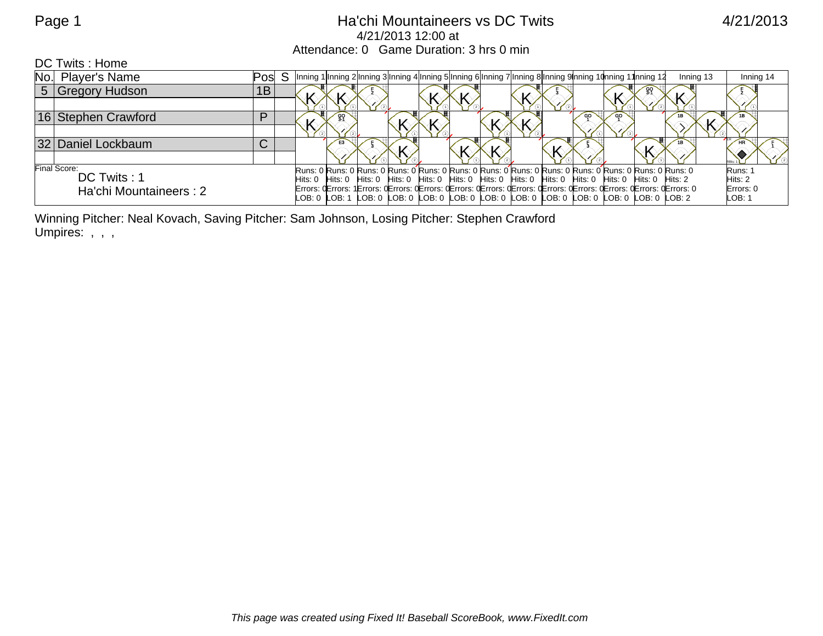## Page 1 **Acker and Acker Hatchi Mountaineers vs DC Twits** 4/21/2013 4/21/2013 12:00 at Attendance: 0 Game Duration: 3 hrs 0 min

DC Twits : Home

|              | No. Player's Name      | Posl                                                                                                    | Inning 1 Inning 2 Inning 3 Inning 4 Inning 5 Inning 6 Inning 7 Inning 8 Inning 9 nning 10 nning 11                     |  |  |  |  |  | Inning 13 | Inning 14 |
|--------------|------------------------|---------------------------------------------------------------------------------------------------------|------------------------------------------------------------------------------------------------------------------------|--|--|--|--|--|-----------|-----------|
|              | 5 Gregory Hudson       | 1B                                                                                                      |                                                                                                                        |  |  |  |  |  |           |           |
|              |                        |                                                                                                         |                                                                                                                        |  |  |  |  |  |           |           |
|              | 16 Stephen Crawford    | D                                                                                                       |                                                                                                                        |  |  |  |  |  |           |           |
|              |                        |                                                                                                         |                                                                                                                        |  |  |  |  |  |           |           |
|              | 32 Daniel Lockbaum     | $\sim$<br>ັ                                                                                             | E3                                                                                                                     |  |  |  |  |  |           |           |
|              |                        |                                                                                                         |                                                                                                                        |  |  |  |  |  |           |           |
| Final Score: |                        | Runs: 0 Runs: 0 Runs: 0 Runs: 0 Runs: 0 Runs: 0 Runs: 0 Runs: 0 Runs: 0 Runs: 0 Runs: 0 Runs: 0 Runs: 0 |                                                                                                                        |  |  |  |  |  | Runs:     |           |
|              | DC Twits: 1            |                                                                                                         | Hits: 0 Hits: 0 Hits: 0 Hits: 0 Hits: 0 Hits: 0 Hits: 0 Hits: 0 Hits: 0 Hits: 0 Hits: 0 Hits: 0 Hits: 2                |  |  |  |  |  |           | Hits: 2   |
|              | Ha'chi Mountaineers: 2 |                                                                                                         | Errors: QErrors: 1 Errors: QErrors: QErrors: QErrors: QErrors: QErrors: QErrors: QErrors: QErrors: QErrors: QErrors: O |  |  |  |  |  |           | Errors: 0 |
|              |                        |                                                                                                         | LOB: 0  LOB: 1  LOB: 0  LOB: 0  LOB: 0  LOB: 0  LOB: 0  LOB: 0  LOB: 0  LOB: 0  LOB: 0  LOB: 2                         |  |  |  |  |  |           | LOB: 1    |

Winning Pitcher: Neal Kovach, Saving Pitcher: Sam Johnson, Losing Pitcher: Stephen Crawford Umpires: , , ,